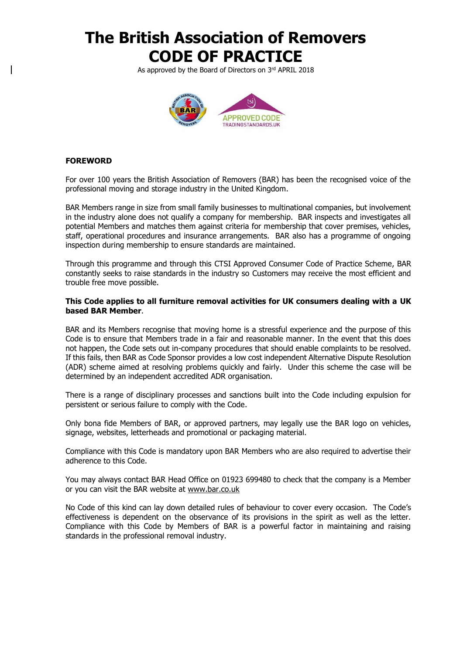As approved by the Board of Directors on 3rd APRIL 2018



### **FOREWORD**

For over 100 years the British Association of Removers (BAR) has been the recognised voice of the professional moving and storage industry in the United Kingdom.

BAR Members range in size from small family businesses to multinational companies, but involvement in the industry alone does not qualify a company for membership. BAR inspects and investigates all potential Members and matches them against criteria for membership that cover premises, vehicles, staff, operational procedures and insurance arrangements. BAR also has a programme of ongoing inspection during membership to ensure standards are maintained.

Through this programme and through this CTSI Approved Consumer Code of Practice Scheme, BAR constantly seeks to raise standards in the industry so Customers may receive the most efficient and trouble free move possible.

#### **This Code applies to all furniture removal activities for UK consumers dealing with a UK based BAR Member**.

BAR and its Members recognise that moving home is a stressful experience and the purpose of this Code is to ensure that Members trade in a fair and reasonable manner. In the event that this does not happen, the Code sets out in-company procedures that should enable complaints to be resolved. If this fails, then BAR as Code Sponsor provides a low cost independent Alternative Dispute Resolution (ADR) scheme aimed at resolving problems quickly and fairly. Under this scheme the case will be determined by an independent accredited ADR organisation.

There is a range of disciplinary processes and sanctions built into the Code including expulsion for persistent or serious failure to comply with the Code.

Only bona fide Members of BAR, or approved partners, may legally use the BAR logo on vehicles, signage, websites, letterheads and promotional or packaging material.

Compliance with this Code is mandatory upon BAR Members who are also required to advertise their adherence to this Code.

You may always contact BAR Head Office on 01923 699480 to check that the company is a Member or you can visit the BAR website at [www.bar.co.uk](http://www.bar.co.uk/)

No Code of this kind can lay down detailed rules of behaviour to cover every occasion. The Code's effectiveness is dependent on the observance of its provisions in the spirit as well as the letter. Compliance with this Code by Members of BAR is a powerful factor in maintaining and raising standards in the professional removal industry.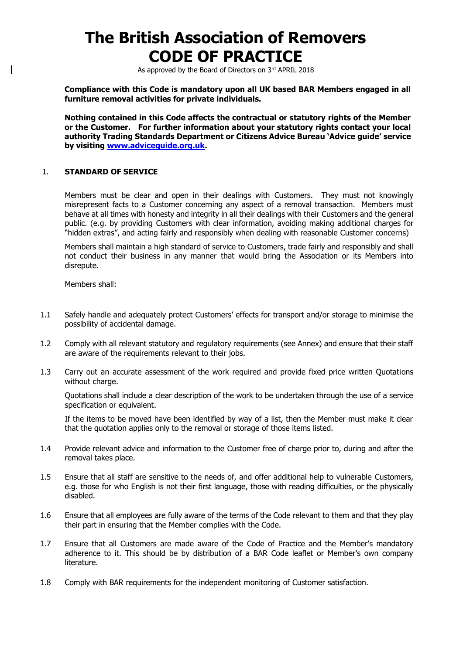As approved by the Board of Directors on 3rd APRIL 2018

**Compliance with this Code is mandatory upon all UK based BAR Members engaged in all furniture removal activities for private individuals.**

**Nothing contained in this Code affects the contractual or statutory rights of the Member or the Customer. For further information about your statutory rights contact your local authority Trading Standards Department or Citizens Advice Bureau 'Advice guide' service by visiting [www.adviceguide.org.uk.](http://www.adviceguide.org.uk/)**

#### 1. **STANDARD OF SERVICE**

Members must be clear and open in their dealings with Customers. They must not knowingly misrepresent facts to a Customer concerning any aspect of a removal transaction. Members must behave at all times with honesty and integrity in all their dealings with their Customers and the general public. (e.g. by providing Customers with clear information, avoiding making additional charges for "hidden extras", and acting fairly and responsibly when dealing with reasonable Customer concerns)

Members shall maintain a high standard of service to Customers, trade fairly and responsibly and shall not conduct their business in any manner that would bring the Association or its Members into disrepute.

Members shall:

- 1.1 Safely handle and adequately protect Customers' effects for transport and/or storage to minimise the possibility of accidental damage.
- 1.2 Comply with all relevant statutory and regulatory requirements (see Annex) and ensure that their staff are aware of the requirements relevant to their jobs.
- 1.3 Carry out an accurate assessment of the work required and provide fixed price written Quotations without charge.

Quotations shall include a clear description of the work to be undertaken through the use of a service specification or equivalent.

If the items to be moved have been identified by way of a list, then the Member must make it clear that the quotation applies only to the removal or storage of those items listed.

- 1.4 Provide relevant advice and information to the Customer free of charge prior to, during and after the removal takes place.
- 1.5 Ensure that all staff are sensitive to the needs of, and offer additional help to vulnerable Customers, e.g. those for who English is not their first language, those with reading difficulties, or the physically disabled.
- 1.6 Ensure that all employees are fully aware of the terms of the Code relevant to them and that they play their part in ensuring that the Member complies with the Code.
- 1.7 Ensure that all Customers are made aware of the Code of Practice and the Member's mandatory adherence to it. This should be by distribution of a BAR Code leaflet or Member's own company literature.
- 1.8 Comply with BAR requirements for the independent monitoring of Customer satisfaction.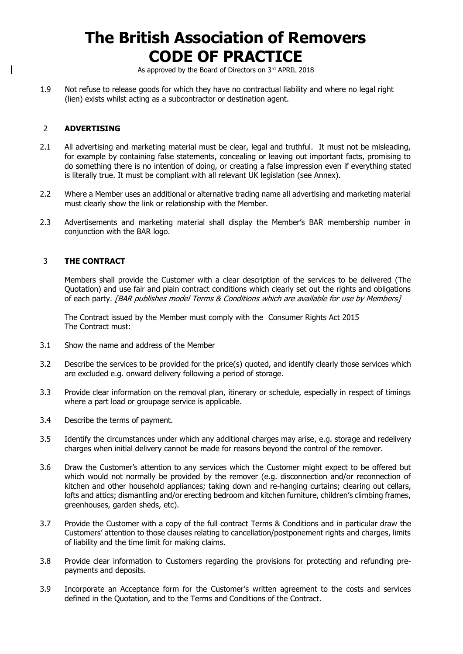As approved by the Board of Directors on 3rd APRIL 2018

1.9 Not refuse to release goods for which they have no contractual liability and where no legal right (lien) exists whilst acting as a subcontractor or destination agent.

### 2 **ADVERTISING**

- 2.1 All advertising and marketing material must be clear, legal and truthful. It must not be misleading, for example by containing false statements, concealing or leaving out important facts, promising to do something there is no intention of doing, or creating a false impression even if everything stated is literally true. It must be compliant with all relevant UK legislation (see Annex).
- 2.2 Where a Member uses an additional or alternative trading name all advertising and marketing material must clearly show the link or relationship with the Member.
- 2.3 Advertisements and marketing material shall display the Member's BAR membership number in conjunction with the BAR logo.

### 3 **THE CONTRACT**

Members shall provide the Customer with a clear description of the services to be delivered (The Quotation) and use fair and plain contract conditions which clearly set out the rights and obligations of each party. [BAR publishes model Terms & Conditions which are available for use by Members]

The Contract issued by the Member must comply with the Consumer Rights Act 2015 The Contract must:

- 3.1 Show the name and address of the Member
- 3.2 Describe the services to be provided for the price(s) quoted, and identify clearly those services which are excluded e.g. onward delivery following a period of storage.
- 3.3 Provide clear information on the removal plan, itinerary or schedule, especially in respect of timings where a part load or groupage service is applicable.
- 3.4 Describe the terms of payment.
- 3.5 Identify the circumstances under which any additional charges may arise, e.g. storage and redelivery charges when initial delivery cannot be made for reasons beyond the control of the remover.
- 3.6 Draw the Customer's attention to any services which the Customer might expect to be offered but which would not normally be provided by the remover (e.g. disconnection and/or reconnection of kitchen and other household appliances; taking down and re-hanging curtains; clearing out cellars, lofts and attics; dismantling and/or erecting bedroom and kitchen furniture, children's climbing frames, greenhouses, garden sheds, etc).
- 3.7 Provide the Customer with a copy of the full contract Terms & Conditions and in particular draw the Customers' attention to those clauses relating to cancellation/postponement rights and charges, limits of liability and the time limit for making claims.
- 3.8 Provide clear information to Customers regarding the provisions for protecting and refunding prepayments and deposits.
- 3.9 Incorporate an Acceptance form for the Customer's written agreement to the costs and services defined in the Quotation, and to the Terms and Conditions of the Contract.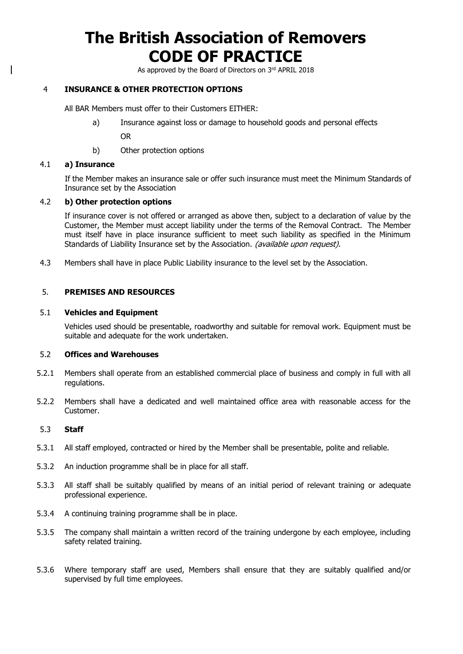As approved by the Board of Directors on 3rd APRIL 2018

### 4 **INSURANCE & OTHER PROTECTION OPTIONS**

All BAR Members must offer to their Customers EITHER:

a) Insurance against loss or damage to household goods and personal effects

OR

b) Other protection options

#### 4.1 **a) Insurance**

If the Member makes an insurance sale or offer such insurance must meet the Minimum Standards of Insurance set by the Association

### 4.2 **b) Other protection options**

If insurance cover is not offered or arranged as above then, subject to a declaration of value by the Customer, the Member must accept liability under the terms of the Removal Contract. The Member must itself have in place insurance sufficient to meet such liability as specified in the Minimum Standards of Liability Insurance set by the Association. (available upon request).

4.3 Members shall have in place Public Liability insurance to the level set by the Association.

#### 5. **PREMISES AND RESOURCES**

#### 5.1 **Vehicles and Equipment**

Vehicles used should be presentable, roadworthy and suitable for removal work. Equipment must be suitable and adequate for the work undertaken.

#### 5.2 **Offices and Warehouses**

- 5.2.1 Members shall operate from an established commercial place of business and comply in full with all regulations.
- 5.2.2 Members shall have a dedicated and well maintained office area with reasonable access for the Customer.

#### 5.3 **Staff**

- 5.3.1 All staff employed, contracted or hired by the Member shall be presentable, polite and reliable.
- 5.3.2 An induction programme shall be in place for all staff.
- 5.3.3 All staff shall be suitably qualified by means of an initial period of relevant training or adequate professional experience.
- 5.3.4 A continuing training programme shall be in place.
- 5.3.5 The company shall maintain a written record of the training undergone by each employee, including safety related training.
- 5.3.6 Where temporary staff are used, Members shall ensure that they are suitably qualified and/or supervised by full time employees.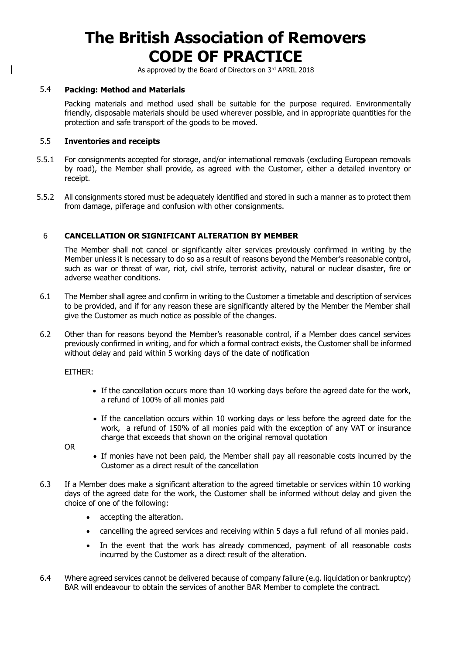As approved by the Board of Directors on 3rd APRIL 2018

#### 5.4 **Packing: Method and Materials**

Packing materials and method used shall be suitable for the purpose required. Environmentally friendly, disposable materials should be used wherever possible, and in appropriate quantities for the protection and safe transport of the goods to be moved.

#### 5.5 **Inventories and receipts**

- 5.5.1 For consignments accepted for storage, and/or international removals (excluding European removals by road), the Member shall provide, as agreed with the Customer, either a detailed inventory or receipt.
- 5.5.2 All consignments stored must be adequately identified and stored in such a manner as to protect them from damage, pilferage and confusion with other consignments.

### 6 **CANCELLATION OR SIGNIFICANT ALTERATION BY MEMBER**

The Member shall not cancel or significantly alter services previously confirmed in writing by the Member unless it is necessary to do so as a result of reasons beyond the Member's reasonable control, such as war or threat of war, riot, civil strife, terrorist activity, natural or nuclear disaster, fire or adverse weather conditions.

- 6.1 The Member shall agree and confirm in writing to the Customer a timetable and description of services to be provided, and if for any reason these are significantly altered by the Member the Member shall give the Customer as much notice as possible of the changes.
- 6.2 Other than for reasons beyond the Member's reasonable control, if a Member does cancel services previously confirmed in writing, and for which a formal contract exists, the Customer shall be informed without delay and paid within 5 working days of the date of notification

EITHER:

- If the cancellation occurs more than 10 working days before the agreed date for the work, a refund of 100% of all monies paid
- If the cancellation occurs within 10 working days or less before the agreed date for the work, a refund of 150% of all monies paid with the exception of any VAT or insurance charge that exceeds that shown on the original removal quotation

OR

- If monies have not been paid, the Member shall pay all reasonable costs incurred by the Customer as a direct result of the cancellation
- 6.3 If a Member does make a significant alteration to the agreed timetable or services within 10 working days of the agreed date for the work, the Customer shall be informed without delay and given the choice of one of the following:
	- accepting the alteration.
	- cancelling the agreed services and receiving within 5 days a full refund of all monies paid.
	- In the event that the work has already commenced, payment of all reasonable costs incurred by the Customer as a direct result of the alteration.
- 6.4 Where agreed services cannot be delivered because of company failure (e.g. liquidation or bankruptcy) BAR will endeavour to obtain the services of another BAR Member to complete the contract.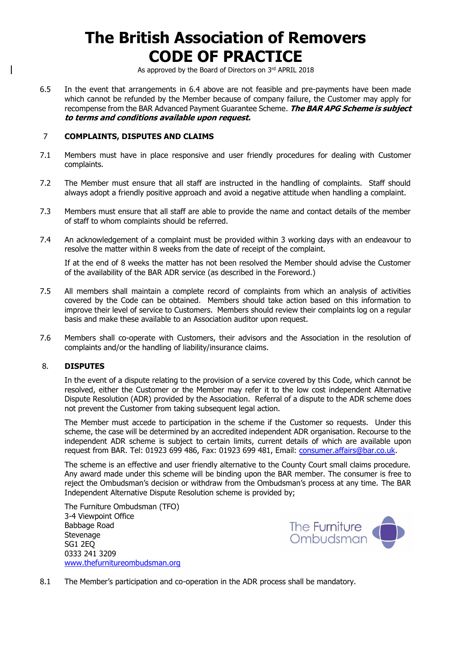As approved by the Board of Directors on 3rd APRIL 2018

6.5 In the event that arrangements in 6.4 above are not feasible and pre-payments have been made which cannot be refunded by the Member because of company failure, the Customer may apply for recompense from the BAR Advanced Payment Guarantee Scheme. **The BAR APG Scheme is subject to terms and conditions available upon request.**

#### 7 **COMPLAINTS, DISPUTES AND CLAIMS**

- 7.1 Members must have in place responsive and user friendly procedures for dealing with Customer complaints.
- 7.2 The Member must ensure that all staff are instructed in the handling of complaints. Staff should always adopt a friendly positive approach and avoid a negative attitude when handling a complaint.
- 7.3 Members must ensure that all staff are able to provide the name and contact details of the member of staff to whom complaints should be referred.
- 7.4 An acknowledgement of a complaint must be provided within 3 working days with an endeavour to resolve the matter within 8 weeks from the date of receipt of the complaint.

If at the end of 8 weeks the matter has not been resolved the Member should advise the Customer of the availability of the BAR ADR service (as described in the Foreword.)

- 7.5 All members shall maintain a complete record of complaints from which an analysis of activities covered by the Code can be obtained. Members should take action based on this information to improve their level of service to Customers. Members should review their complaints log on a regular basis and make these available to an Association auditor upon request.
- 7.6 Members shall co-operate with Customers, their advisors and the Association in the resolution of complaints and/or the handling of liability/insurance claims.

#### 8. **DISPUTES**

In the event of a dispute relating to the provision of a service covered by this Code, which cannot be resolved, either the Customer or the Member may refer it to the low cost independent Alternative Dispute Resolution (ADR) provided by the Association. Referral of a dispute to the ADR scheme does not prevent the Customer from taking subsequent legal action.

The Member must accede to participation in the scheme if the Customer so requests. Under this scheme, the case will be determined by an accredited independent ADR organisation. Recourse to the independent ADR scheme is subject to certain limits, current details of which are available upon request from BAR. Tel: 01923 699 486, Fax: 01923 699 481, Email: [consumer.affairs@bar.co.uk.](mailto:consumer.affairs@bar.co.uk)

The scheme is an effective and user friendly alternative to the County Court small claims procedure. Any award made under this scheme will be binding upon the BAR member. The consumer is free to reject the Ombudsman's decision or withdraw from the Ombudsman's process at any time. The BAR Independent Alternative Dispute Resolution scheme is provided by;

The Furniture Ombudsman (TFO) 3-4 Viewpoint Office Babbage Road Stevenage SG1 2EQ 0333 241 3209 [www.thefurnitureombudsman.org](http://www.thefurnitureombudsman.org/)



8.1 The Member's participation and co-operation in the ADR process shall be mandatory.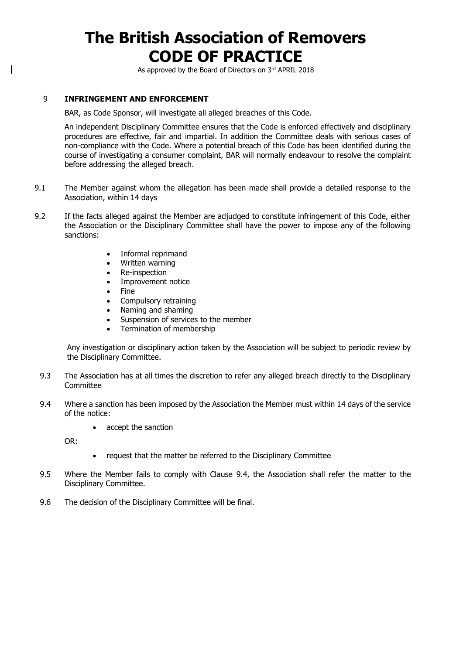As approved by the Board of Directors on 3rd APRIL 2018

### 9 **INFRINGEMENT AND ENFORCEMENT**

BAR, as Code Sponsor, will investigate all alleged breaches of this Code.

An independent Disciplinary Committee ensures that the Code is enforced effectively and disciplinary procedures are effective, fair and impartial. In addition the Committee deals with serious cases of non-compliance with the Code. Where a potential breach of this Code has been identified during the course of investigating a consumer complaint, BAR will normally endeavour to resolve the complaint before addressing the alleged breach.

- 9.1 The Member against whom the allegation has been made shall provide a detailed response to the Association, within 14 days
- 9.2 If the facts alleged against the Member are adjudged to constitute infringement of this Code, either the Association or the Disciplinary Committee shall have the power to impose any of the following sanctions:
	- Informal reprimand
	- Written warning
	- Re-inspection
	- Improvement notice
	- Fine
	- Compulsory retraining
	- Naming and shaming
	- Suspension of services to the member
	- Termination of membership

Any investigation or disciplinary action taken by the Association will be subject to periodic review by the Disciplinary Committee.

- 9.3 The Association has at all times the discretion to refer any alleged breach directly to the Disciplinary Committee
- 9.4 Where a sanction has been imposed by the Association the Member must within 14 days of the service of the notice:
	- accept the sanction

OR:

- request that the matter be referred to the Disciplinary Committee
- 9.5 Where the Member fails to comply with Clause 9.4, the Association shall refer the matter to the Disciplinary Committee.
- 9.6 The decision of the Disciplinary Committee will be final.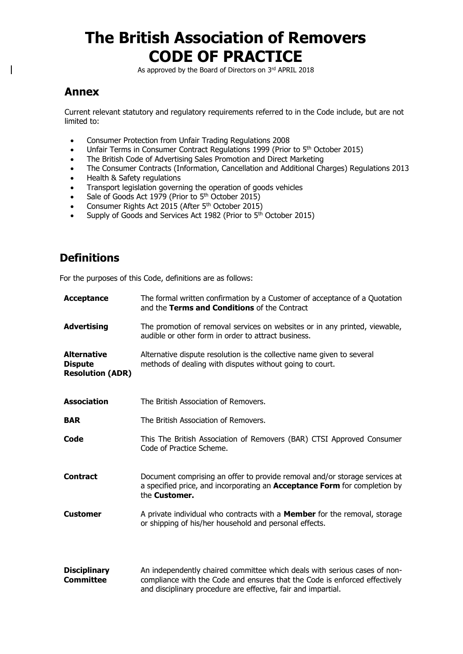As approved by the Board of Directors on 3rd APRIL 2018

### **Annex**

Current relevant statutory and regulatory requirements referred to in the Code include, but are not limited to:

- Consumer Protection from Unfair Trading Regulations 2008
- Unfair Terms in Consumer Contract Regulations 1999 (Prior to 5<sup>th</sup> October 2015)
- The British Code of Advertising Sales Promotion and Direct Marketing
- The Consumer Contracts (Information, Cancellation and Additional Charges) Regulations 2013
- Health & Safety regulations
- Transport legislation governing the operation of goods vehicles
- Sale of Goods Act 1979 (Prior to 5<sup>th</sup> October 2015)
- Consumer Rights Act 2015 (After 5<sup>th</sup> October 2015)
- Supply of Goods and Services Act 1982 (Prior to 5<sup>th</sup> October 2015)

### **Definitions**

For the purposes of this Code, definitions are as follows:

| Acceptance                                                      | The formal written confirmation by a Customer of acceptance of a Quotation<br>and the Terms and Conditions of the Contract                                                                                               |
|-----------------------------------------------------------------|--------------------------------------------------------------------------------------------------------------------------------------------------------------------------------------------------------------------------|
| <b>Advertising</b>                                              | The promotion of removal services on websites or in any printed, viewable,<br>audible or other form in order to attract business.                                                                                        |
| <b>Alternative</b><br><b>Dispute</b><br><b>Resolution (ADR)</b> | Alternative dispute resolution is the collective name given to several<br>methods of dealing with disputes without going to court.                                                                                       |
| <b>Association</b>                                              | The British Association of Removers.                                                                                                                                                                                     |
| <b>BAR</b>                                                      | The British Association of Removers.                                                                                                                                                                                     |
| Code                                                            | This The British Association of Removers (BAR) CTSI Approved Consumer<br>Code of Practice Scheme.                                                                                                                        |
| <b>Contract</b>                                                 | Document comprising an offer to provide removal and/or storage services at<br>a specified price, and incorporating an <b>Acceptance Form</b> for completion by<br>the <b>Customer.</b>                                   |
| <b>Customer</b>                                                 | A private individual who contracts with a <b>Member</b> for the removal, storage<br>or shipping of his/her household and personal effects.                                                                               |
| <b>Disciplinary</b><br><b>Committee</b>                         | An independently chaired committee which deals with serious cases of non-<br>compliance with the Code and ensures that the Code is enforced effectively<br>and disciplinary procedure are effective, fair and impartial. |